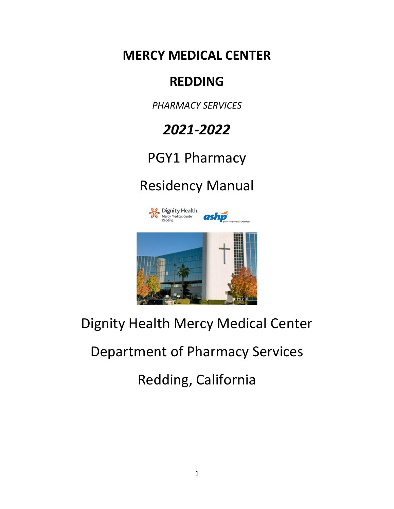**MERCY MEDICAL CENTER**

# **REDDING**

*PHARMACY SERVICES*

# *2021-2022*

# PGY1 Pharmacy

# Residency Manual



# Dignity Health Mercy Medical Center

# Department of Pharmacy Services

Redding, California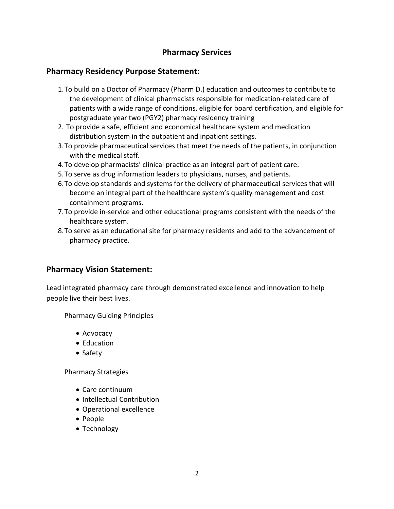# **Pharmacy Services**

# **Pharmacy Residency Purpose Statement:**

- 1.To build on a Doctor of Pharmacy (Pharm D.) education and outcomes to contribute to the development of clinical pharmacists responsible for medication-related care of patients with a wide range of conditions, eligible for board certification, and eligible for postgraduate year two (PGY2) pharmacy residency training
- 2. To provide a safe, efficient and economical healthcare system and medication distribution system in the outpatient and inpatient settings.
- 3.To provide pharmaceutical services that meet the needs of the patients, in conjunction with the medical staff.
- 4.To develop pharmacists' clinical practice as an integral part of patient care.
- 5.To serve as drug information leaders to physicians, nurses, and patients.
- 6.To develop standards and systems for the delivery of pharmaceutical services that will become an integral part of the healthcare system's quality management and cost containment programs.
- 7.To provide in-service and other educational programs consistent with the needs of the healthcare system.
- 8.To serve as an educational site for pharmacy residents and add to the advancement of pharmacy practice.

## **Pharmacy Vision Statement:**

Lead integrated pharmacy care through demonstrated excellence and innovation to help people live their best lives.

Pharmacy Guiding Principles

- Advocacy
- Education
- Safety

Pharmacy Strategies

- Care continuum
- Intellectual Contribution
- Operational excellence
- People
- Technology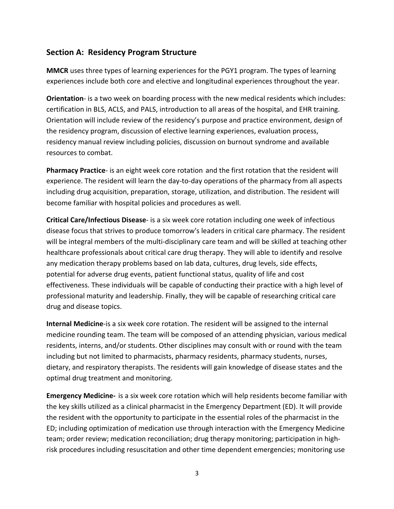# **Section A: Residency Program Structure**

**MMCR** uses three types of learning experiences for the PGY1 program. The types of learning experiences include both core and elective and longitudinal experiences throughout the year.

**Orientation**- is a two week on boarding process with the new medical residents which includes: certification in BLS, ACLS, and PALS, introduction to all areas of the hospital, and EHR training. Orientation will include review of the residency's purpose and practice environment, design of the residency program, discussion of elective learning experiences, evaluation process, residency manual review including policies, discussion on burnout syndrome and available resources to combat.

**Pharmacy Practice**- is an eight week core rotation and the first rotation that the resident will experience. The resident will learn the day-to-day operations of the pharmacy from all aspects including drug acquisition, preparation, storage, utilization, and distribution. The resident will become familiar with hospital policies and procedures as well.

**Critical Care/Infectious Disease**- is a six week core rotation including one week of infectious disease focus that strives to produce tomorrow's leaders in critical care pharmacy. The resident will be integral members of the multi-disciplinary care team and will be skilled at teaching other healthcare professionals about critical care drug therapy. They will able to identify and resolve any medication therapy problems based on lab data, cultures, drug levels, side effects, potential for adverse drug events, patient functional status, quality of life and cost effectiveness. These individuals will be capable of conducting their practice with a high level of professional maturity and leadership. Finally, they will be capable of researching critical care drug and disease topics.

**Internal Medicine**-is a six week core rotation. The resident will be assigned to the internal medicine rounding team. The team will be composed of an attending physician, various medical residents, interns, and/or students. Other disciplines may consult with or round with the team including but not limited to pharmacists, pharmacy residents, pharmacy students, nurses, dietary, and respiratory therapists. The residents will gain knowledge of disease states and the optimal drug treatment and monitoring.

**Emergency Medicine-** is a six week core rotation which will help residents become familiar with the key skills utilized as a clinical pharmacist in the Emergency Department (ED). It will provide the resident with the opportunity to participate in the essential roles of the pharmacist in the ED; including optimization of medication use through interaction with the Emergency Medicine team; order review; medication reconciliation; drug therapy monitoring; participation in highrisk procedures including resuscitation and other time dependent emergencies; monitoring use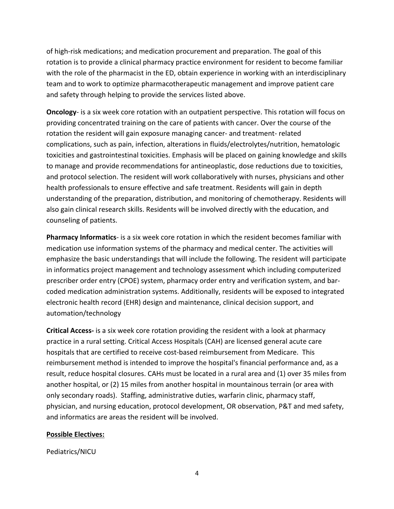of high-risk medications; and medication procurement and preparation. The goal of this rotation is to provide a clinical pharmacy practice environment for resident to become familiar with the role of the pharmacist in the ED, obtain experience in working with an interdisciplinary team and to work to optimize pharmacotherapeutic management and improve patient care and safety through helping to provide the services listed above.

**Oncology**- is a six week core rotation with an outpatient perspective. This rotation will focus on providing concentrated training on the care of patients with cancer. Over the course of the rotation the resident will gain exposure managing cancer- and treatment- related complications, such as pain, infection, alterations in fluids/electrolytes/nutrition, hematologic toxicities and gastrointestinal toxicities. Emphasis will be placed on gaining knowledge and skills to manage and provide recommendations for antineoplastic, dose reductions due to toxicities, and protocol selection. The resident will work collaboratively with nurses, physicians and other health professionals to ensure effective and safe treatment. Residents will gain in depth understanding of the preparation, distribution, and monitoring of chemotherapy. Residents will also gain clinical research skills. Residents will be involved directly with the education, and counseling of patients.

**Pharmacy Informatics**- is a six week core rotation in which the resident becomes familiar with medication use information systems of the pharmacy and medical center. The activities will emphasize the basic understandings that will include the following. The resident will participate in informatics project management and technology assessment which including computerized prescriber order entry (CPOE) system, pharmacy order entry and verification system, and barcoded medication administration systems. Additionally, residents will be exposed to integrated electronic health record (EHR) design and maintenance, clinical decision support, and automation/technology

**Critical Access-** is a six week core rotation providing the resident with a look at pharmacy practice in a rural setting. Critical Access Hospitals (CAH) are licensed general acute care hospitals that are certified to receive cost-based reimbursement from Medicare. This reimbursement method is intended to improve the hospital's financial performance and, as a result, reduce hospital closures. CAHs must be located in a rural area and (1) over 35 miles from another hospital, or (2) 15 miles from another hospital in mountainous terrain (or area with only secondary roads). Staffing, administrative duties, warfarin clinic, pharmacy staff, physician, and nursing education, protocol development, OR observation, P&T and med safety, and informatics are areas the resident will be involved.

#### **Possible Electives:**

Pediatrics/NICU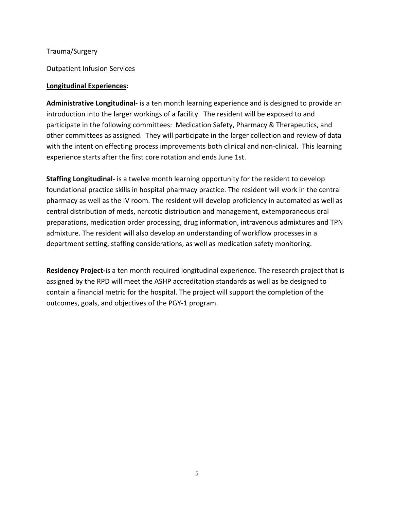Trauma/Surgery

Outpatient Infusion Services

#### **Longitudinal Experiences:**

**Administrative Longitudinal-** is a ten month learning experience and is designed to provide an introduction into the larger workings of a facility. The resident will be exposed to and participate in the following committees: Medication Safety, Pharmacy & Therapeutics, and other committees as assigned. They will participate in the larger collection and review of data with the intent on effecting process improvements both clinical and non-clinical. This learning experience starts after the first core rotation and ends June 1st.

**Staffing Longitudinal-** is a twelve month learning opportunity for the resident to develop foundational practice skills in hospital pharmacy practice. The resident will work in the central pharmacy as well as the IV room. The resident will develop proficiency in automated as well as central distribution of meds, narcotic distribution and management, extemporaneous oral preparations, medication order processing, drug information, intravenous admixtures and TPN admixture. The resident will also develop an understanding of workflow processes in a department setting, staffing considerations, as well as medication safety monitoring.

**Residency Project-**is a ten month required longitudinal experience. The research project that is assigned by the RPD will meet the ASHP accreditation standards as well as be designed to contain a financial metric for the hospital. The project will support the completion of the outcomes, goals, and objectives of the PGY-1 program.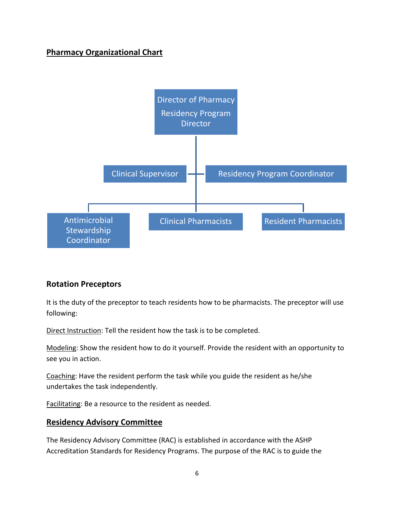# **Pharmacy Organizational Chart**



# **Rotation Preceptors**

It is the duty of the preceptor to teach residents how to be pharmacists. The preceptor will use following:

Direct Instruction: Tell the resident how the task is to be completed.

Modeling: Show the resident how to do it yourself. Provide the resident with an opportunity to see you in action.

Coaching: Have the resident perform the task while you guide the resident as he/she undertakes the task independently.

Facilitating: Be a resource to the resident as needed.

## **Residency Advisory Committee**

The Residency Advisory Committee (RAC) is established in accordance with the ASHP Accreditation Standards for Residency Programs. The purpose of the RAC is to guide the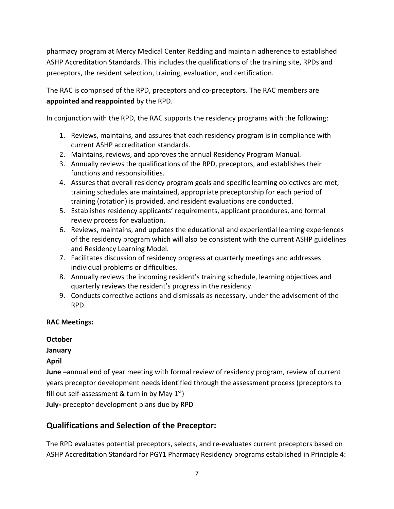pharmacy program at Mercy Medical Center Redding and maintain adherence to established ASHP Accreditation Standards. This includes the qualifications of the training site, RPDs and preceptors, the resident selection, training, evaluation, and certification.

The RAC is comprised of the RPD, preceptors and co-preceptors. The RAC members are **appointed and reappointed** by the RPD.

In conjunction with the RPD, the RAC supports the residency programs with the following:

- 1. Reviews, maintains, and assures that each residency program is in compliance with current ASHP accreditation standards.
- 2. Maintains, reviews, and approves the annual Residency Program Manual.
- 3. Annually reviews the qualifications of the RPD, preceptors, and establishes their functions and responsibilities.
- 4. Assures that overall residency program goals and specific learning objectives are met, training schedules are maintained, appropriate preceptorship for each period of training (rotation) is provided, and resident evaluations are conducted.
- 5. Establishes residency applicants' requirements, applicant procedures, and formal review process for evaluation.
- 6. Reviews, maintains, and updates the educational and experiential learning experiences of the residency program which will also be consistent with the current ASHP guidelines and Residency Learning Model.
- 7. Facilitates discussion of residency progress at quarterly meetings and addresses individual problems or difficulties.
- 8. Annually reviews the incoming resident's training schedule, learning objectives and quarterly reviews the resident's progress in the residency.
- 9. Conducts corrective actions and dismissals as necessary, under the advisement of the RPD.

## **RAC Meetings:**

**October**

# **January**

# **April**

**June –**annual end of year meeting with formal review of residency program, review of current years preceptor development needs identified through the assessment process (preceptors to fill out self-assessment & turn in by May  $1<sup>st</sup>$ ) **July-** preceptor development plans due by RPD

# **Qualifications and Selection of the Preceptor:**

The RPD evaluates potential preceptors, selects, and re-evaluates current preceptors based on ASHP Accreditation Standard for PGY1 Pharmacy Residency programs established in Principle 4: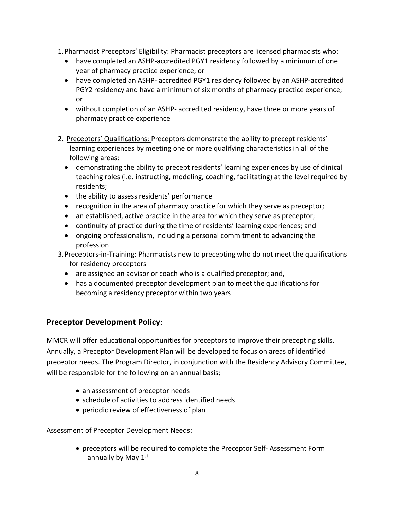- 1. Pharmacist Preceptors' Eligibility: Pharmacist preceptors are licensed pharmacists who:
	- have completed an ASHP-accredited PGY1 residency followed by a minimum of one year of pharmacy practice experience; or
	- have completed an ASHP- accredited PGY1 residency followed by an ASHP-accredited PGY2 residency and have a minimum of six months of pharmacy practice experience; or
	- without completion of an ASHP- accredited residency, have three or more years of pharmacy practice experience
- 2. Preceptors' Qualifications: Preceptors demonstrate the ability to precept residents' learning experiences by meeting one or more qualifying characteristics in all of the following areas:
	- demonstrating the ability to precept residents' learning experiences by use of clinical teaching roles (i.e. instructing, modeling, coaching, facilitating) at the level required by residents;
	- the ability to assess residents' performance
	- recognition in the area of pharmacy practice for which they serve as preceptor;
	- an established, active practice in the area for which they serve as preceptor;
	- continuity of practice during the time of residents' learning experiences; and
	- ongoing professionalism, including a personal commitment to advancing the profession
- 3. Preceptors-in-Training: Pharmacists new to precepting who do not meet the qualifications for residency preceptors
	- are assigned an advisor or coach who is a qualified preceptor; and,
	- has a documented preceptor development plan to meet the qualifications for becoming a residency preceptor within two years

# **Preceptor Development Policy**:

MMCR will offer educational opportunities for preceptors to improve their precepting skills. Annually, a Preceptor Development Plan will be developed to focus on areas of identified preceptor needs. The Program Director, in conjunction with the Residency Advisory Committee, will be responsible for the following on an annual basis;

- an assessment of preceptor needs
- schedule of activities to address identified needs
- periodic review of effectiveness of plan

Assessment of Preceptor Development Needs:

• preceptors will be required to complete the Preceptor Self- Assessment Form annually by May  $1<sup>st</sup>$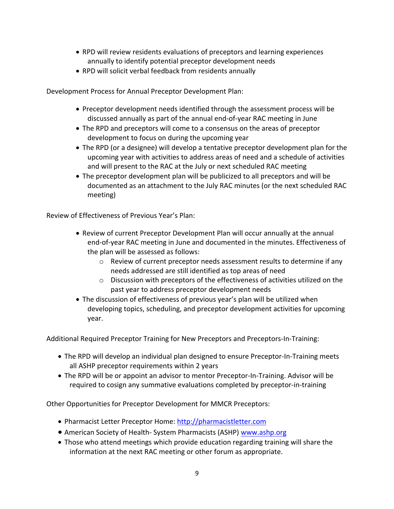- RPD will review residents evaluations of preceptors and learning experiences annually to identify potential preceptor development needs
- RPD will solicit verbal feedback from residents annually

Development Process for Annual Preceptor Development Plan:

- Preceptor development needs identified through the assessment process will be discussed annually as part of the annual end-of-year RAC meeting in June
- The RPD and preceptors will come to a consensus on the areas of preceptor development to focus on during the upcoming year
- The RPD (or a designee) will develop a tentative preceptor development plan for the upcoming year with activities to address areas of need and a schedule of activities and will present to the RAC at the July or next scheduled RAC meeting
- The preceptor development plan will be publicized to all preceptors and will be documented as an attachment to the July RAC minutes (or the next scheduled RAC meeting)

Review of Effectiveness of Previous Year's Plan:

- Review of current Preceptor Development Plan will occur annually at the annual end-of-year RAC meeting in June and documented in the minutes. Effectiveness of the plan will be assessed as follows:
	- o Review of current preceptor needs assessment results to determine if any needs addressed are still identified as top areas of need
	- $\circ$  Discussion with preceptors of the effectiveness of activities utilized on the past year to address preceptor development needs
- The discussion of effectiveness of previous year's plan will be utilized when developing topics, scheduling, and preceptor development activities for upcoming year.

Additional Required Preceptor Training for New Preceptors and Preceptors-In-Training:

- The RPD will develop an individual plan designed to ensure Preceptor-In-Training meets all ASHP preceptor requirements within 2 years
- The RPD will be or appoint an advisor to mentor Preceptor-In-Training. Advisor will be required to cosign any summative evaluations completed by preceptor-in-training

Other Opportunities for Preceptor Development for MMCR Preceptors:

- Pharmacist Letter Preceptor Home: http://pharmacistletter.com
- American Society of Health- System Pharmacists (ASHP) www.ashp.org
- Those who attend meetings which provide education regarding training will share the information at the next RAC meeting or other forum as appropriate.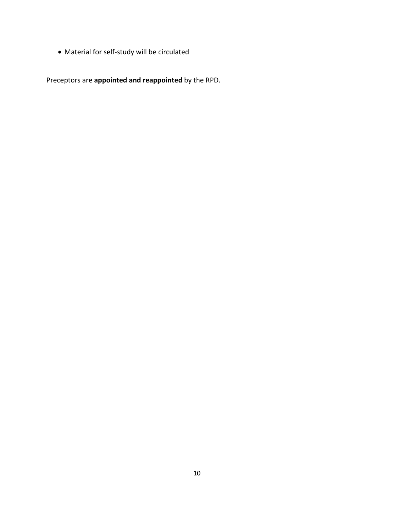• Material for self-study will be circulated

Preceptors are **appointed and reappointed** by the RPD.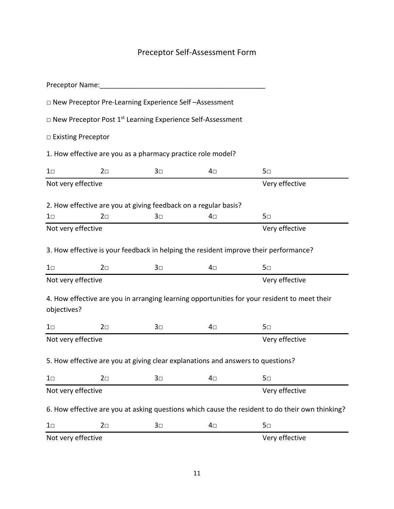# Preceptor Self-Assessment Form

| Preceptor Name:      |            |                                                             |                                                                                 |                                                                                                 |
|----------------------|------------|-------------------------------------------------------------|---------------------------------------------------------------------------------|-------------------------------------------------------------------------------------------------|
|                      |            | □ New Preceptor Pre-Learning Experience Self-Assessment     |                                                                                 |                                                                                                 |
|                      |            |                                                             | $\Box$ New Preceptor Post 1 <sup>st</sup> Learning Experience Self-Assessment   |                                                                                                 |
| □ Existing Preceptor |            |                                                             |                                                                                 |                                                                                                 |
|                      |            | 1. How effective are you as a pharmacy practice role model? |                                                                                 |                                                                                                 |
| $1\square$           | $2\square$ | $3\square$                                                  | 4⊡                                                                              | $5\square$                                                                                      |
| Not very effective   |            |                                                             |                                                                                 | Very effective                                                                                  |
|                      |            |                                                             | 2. How effective are you at giving feedback on a regular basis?                 |                                                                                                 |
| $1\square$           | $2\square$ | $3\square$                                                  | 4⊡                                                                              | $5\square$                                                                                      |
| Not very effective   |            |                                                             |                                                                                 | Very effective                                                                                  |
|                      |            |                                                             |                                                                                 | 3. How effective is your feedback in helping the resident improve their performance?            |
| $1\square$           | $2\square$ | $3\square$                                                  | 4⊡                                                                              | $5\square$                                                                                      |
| Not very effective   |            |                                                             |                                                                                 | Very effective                                                                                  |
| objectives?          |            |                                                             |                                                                                 | 4. How effective are you in arranging learning opportunities for your resident to meet their    |
| $1\square$           | $2\square$ | $3\square$                                                  | 4⊡                                                                              | $5\square$                                                                                      |
| Not very effective   |            |                                                             |                                                                                 | Very effective                                                                                  |
|                      |            |                                                             | 5. How effective are you at giving clear explanations and answers to questions? |                                                                                                 |
| $1\square$           | $2\square$ | $3\square$                                                  | 4⊡                                                                              | $5\square$                                                                                      |
| Not very effective   |            |                                                             |                                                                                 | Very effective                                                                                  |
|                      |            |                                                             |                                                                                 | 6. How effective are you at asking questions which cause the resident to do their own thinking? |
| $1\square$           | $2\square$ | $3\square$                                                  | 4⊡                                                                              | $5\square$                                                                                      |
| Not very effective   |            |                                                             |                                                                                 | Very effective                                                                                  |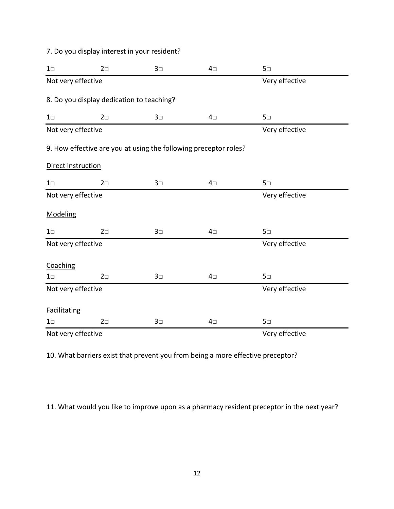7. Do you display interest in your resident?

| $1\square$          | $2\square$                                | $3\square$ | $4\square$                                                       | $5\square$     |  |
|---------------------|-------------------------------------------|------------|------------------------------------------------------------------|----------------|--|
| Not very effective  |                                           |            |                                                                  | Very effective |  |
|                     | 8. Do you display dedication to teaching? |            |                                                                  |                |  |
| $1\square$          | $2\square$                                | $3\square$ | $4\square$                                                       | 5 <sub>□</sub> |  |
| Not very effective  |                                           |            |                                                                  | Very effective |  |
|                     |                                           |            | 9. How effective are you at using the following preceptor roles? |                |  |
| Direct instruction  |                                           |            |                                                                  |                |  |
| $1\square$          | $2\square$                                | $3\square$ | $4\square$                                                       | 5 <sub>□</sub> |  |
| Not very effective  |                                           |            |                                                                  | Very effective |  |
| Modeling            |                                           |            |                                                                  |                |  |
| $1\square$          | $2\square$                                | $3\square$ | $4\square$                                                       | 5 <sub>□</sub> |  |
| Not very effective  |                                           |            |                                                                  | Very effective |  |
| Coaching            |                                           |            |                                                                  |                |  |
| $1\square$          | $2\square$                                | $3\square$ | $4\square$                                                       | 5 <sub>0</sub> |  |
| Not very effective  |                                           |            |                                                                  | Very effective |  |
| <b>Facilitating</b> |                                           |            |                                                                  |                |  |
| $1\square$          | $2\square$                                | $3\square$ | $4\square$                                                       | 5 <sub>□</sub> |  |
| Not very effective  |                                           |            |                                                                  | Very effective |  |

10. What barriers exist that prevent you from being a more effective preceptor?

11. What would you like to improve upon as a pharmacy resident preceptor in the next year?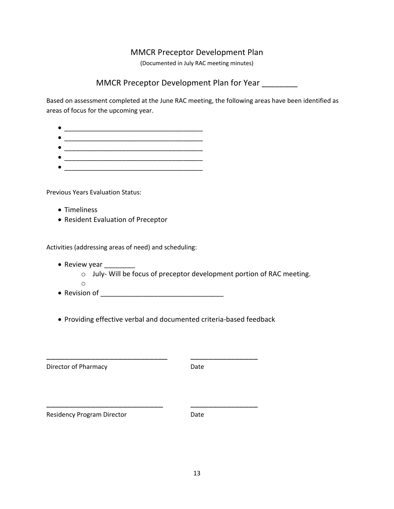# MMCR Preceptor Development Plan

(Documented in July RAC meeting minutes)

# MMCR Preceptor Development Plan for Year \_\_\_\_\_\_\_\_

Based on assessment completed at the June RAC meeting, the following areas have been identified as areas of focus for the upcoming year.

| c |  |
|---|--|
| c |  |
| ٠ |  |
| c |  |
| ٠ |  |
|   |  |

Previous Years Evaluation Status:

- Timeliness
- Resident Evaluation of Preceptor

Activities (addressing areas of need) and scheduling:

- Review year \_\_\_\_\_\_\_\_\_
	- o July- Will be focus of preceptor development portion of RAC meeting.
	- o
- Revision of \_\_\_\_\_\_\_\_\_\_\_\_\_\_\_\_\_\_\_\_\_\_\_\_\_\_\_\_\_\_\_\_
- Providing effective verbal and documented criteria-based feedback

\_\_\_\_\_\_\_\_\_\_\_\_\_\_\_\_\_\_\_\_\_\_\_\_\_\_\_ \_\_\_\_\_\_\_\_\_\_\_\_\_\_\_

\_\_\_\_\_\_\_\_\_\_\_\_\_\_\_\_\_\_\_\_\_\_\_\_\_\_ \_\_\_\_\_\_\_\_\_\_\_\_\_\_\_

| Director of Pharmacy | Date |
|----------------------|------|
|                      |      |

Residency Program Director **Date** Date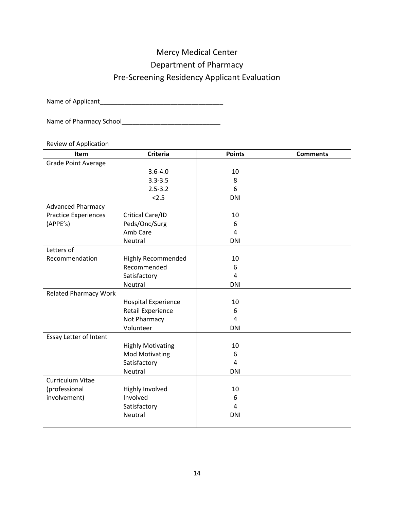# Mercy Medical Center

Department of Pharmacy

# Pre-Screening Residency Applicant Evaluation

Name of Applicant\_\_\_\_\_\_\_\_\_\_\_\_\_\_\_\_\_\_\_\_\_\_\_\_\_\_\_\_\_\_\_\_\_\_\_

Name of Pharmacy School\_\_\_\_\_\_\_\_\_\_\_\_\_\_\_\_\_\_\_\_\_\_\_\_\_\_\_\_

Review of Application

| Item                         | <b>Criteria</b>            | <b>Points</b>  | <b>Comments</b> |
|------------------------------|----------------------------|----------------|-----------------|
| <b>Grade Point Average</b>   |                            |                |                 |
|                              | $3.6 - 4.0$                | 10             |                 |
|                              | $3.3 - 3.5$                | 8              |                 |
|                              | $2.5 - 3.2$                | 6              |                 |
|                              | 2.5                        | <b>DNI</b>     |                 |
| <b>Advanced Pharmacy</b>     |                            |                |                 |
| <b>Practice Experiences</b>  | Critical Care/ID           | 10             |                 |
| (APPE's)                     | Peds/Onc/Surg              | 6              |                 |
|                              | Amb Care                   | $\overline{4}$ |                 |
|                              | Neutral                    | <b>DNI</b>     |                 |
| Letters of                   |                            |                |                 |
| Recommendation               | <b>Highly Recommended</b>  | 10             |                 |
|                              | Recommended                | 6              |                 |
|                              | Satisfactory               | $\overline{4}$ |                 |
|                              | Neutral                    | <b>DNI</b>     |                 |
| <b>Related Pharmacy Work</b> |                            |                |                 |
|                              | <b>Hospital Experience</b> | 10             |                 |
|                              | <b>Retail Experience</b>   | 6              |                 |
|                              | Not Pharmacy               | $\overline{4}$ |                 |
|                              | Volunteer                  | <b>DNI</b>     |                 |
| Essay Letter of Intent       |                            |                |                 |
|                              | <b>Highly Motivating</b>   | 10             |                 |
|                              | <b>Mod Motivating</b>      | 6              |                 |
|                              | Satisfactory               | 4              |                 |
|                              | Neutral                    | <b>DNI</b>     |                 |
| Curriculum Vitae             |                            |                |                 |
| (professional                | Highly Involved            | 10             |                 |
| involvement)                 | Involved                   | 6              |                 |
|                              | Satisfactory               | $\overline{4}$ |                 |
|                              | Neutral                    | <b>DNI</b>     |                 |
|                              |                            |                |                 |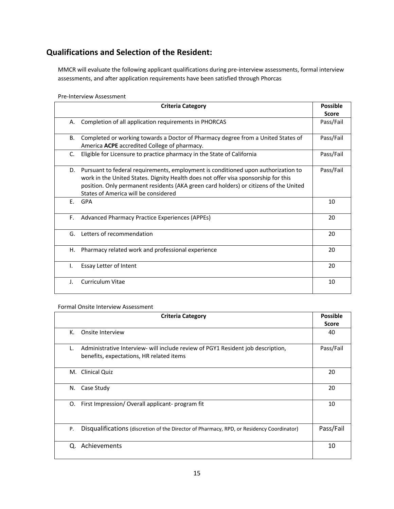# **Qualifications and Selection of the Resident:**

MMCR will evaluate the following applicant qualifications during pre-interview assessments, formal interview assessments, and after application requirements have been satisfied through Phorcas

#### Pre-Interview Assessment

|    | <b>Criteria Category</b>                                                              | <b>Possible</b> |
|----|---------------------------------------------------------------------------------------|-----------------|
|    |                                                                                       | <b>Score</b>    |
| А. | Completion of all application requirements in PHORCAS                                 | Pass/Fail       |
|    |                                                                                       |                 |
| B. | Completed or working towards a Doctor of Pharmacy degree from a United States of      | Pass/Fail       |
|    | America ACPE accredited College of pharmacy.                                          |                 |
| C. | Eligible for Licensure to practice pharmacy in the State of California                | Pass/Fail       |
|    |                                                                                       |                 |
| D. | Pursuant to federal requirements, employment is conditioned upon authorization to     | Pass/Fail       |
|    | work in the United States. Dignity Health does not offer visa sponsorship for this    |                 |
|    | position. Only permanent residents (AKA green card holders) or citizens of the United |                 |
|    | States of America will be considered                                                  |                 |
| F. | <b>GPA</b>                                                                            | 10              |
|    |                                                                                       |                 |
| F. | Advanced Pharmacy Practice Experiences (APPEs)                                        | 20              |
|    |                                                                                       |                 |
| G. | Letters of recommendation                                                             | 20              |
|    |                                                                                       |                 |
| Η. | Pharmacy related work and professional experience                                     | 20              |
|    |                                                                                       |                 |
| I. | Essay Letter of Intent                                                                | 20              |
|    |                                                                                       |                 |
| J. | Curriculum Vitae                                                                      | 10              |
|    |                                                                                       |                 |

#### Formal Onsite Interview Assessment

| <b>Criteria Category</b>                                                                                                          | <b>Possible</b> |
|-----------------------------------------------------------------------------------------------------------------------------------|-----------------|
|                                                                                                                                   | <b>Score</b>    |
| К.<br>Onsite Interview                                                                                                            | 40              |
| Administrative Interview- will include review of PGY1 Resident job description,<br>L.<br>benefits, expectations, HR related items | Pass/Fail       |
| <b>Clinical Quiz</b><br>M.                                                                                                        | 20              |
| Case Study<br>N.                                                                                                                  | 20              |
| First Impression/Overall applicant-program fit<br>0.                                                                              | 10              |
| Disqualifications (discretion of the Director of Pharmacy, RPD, or Residency Coordinator)<br>P.                                   | Pass/Fail       |
| Achievements<br>Q.                                                                                                                | 10              |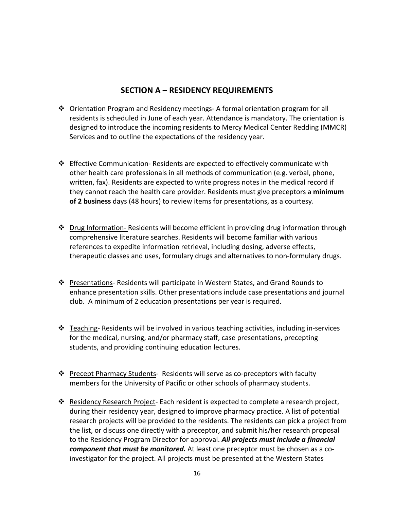# **SECTION A – RESIDENCY REQUIREMENTS**

- $\div$  Orientation Program and Residency meetings- A formal orientation program for all residents is scheduled in June of each year. Attendance is mandatory. The orientation is designed to introduce the incoming residents to Mercy Medical Center Redding (MMCR) Services and to outline the expectations of the residency year.
- $\div$  Effective Communication- Residents are expected to effectively communicate with other health care professionals in all methods of communication (e.g. verbal, phone, written, fax). Residents are expected to write progress notes in the medical record if they cannot reach the health care provider. Residents must give preceptors a **minimum of 2 business** days (48 hours) to review items for presentations, as a courtesy.
- $\cdot \cdot$  Drug Information- Residents will become efficient in providing drug information through comprehensive literature searches. Residents will become familiar with various references to expedite information retrieval, including dosing, adverse effects, therapeutic classes and uses, formulary drugs and alternatives to non-formulary drugs.
- ❖ Presentations-Residents will participate in Western States, and Grand Rounds to enhance presentation skills. Other presentations include case presentations and journal club. A minimum of 2 education presentations per year is required.
- v Teaching- Residents will be involved in various teaching activities, including in-services for the medical, nursing, and/or pharmacy staff, case presentations, precepting students, and providing continuing education lectures.
- Precept Pharmacy Students- Residents will serve as co-preceptors with faculty members for the University of Pacific or other schools of pharmacy students.
- Residency Research Project- Each resident is expected to complete a research project, during their residency year, designed to improve pharmacy practice. A list of potential research projects will be provided to the residents. The residents can pick a project from the list, or discuss one directly with a preceptor, and submit his/her research proposal to the Residency Program Director for approval. *All projects must include a financial component that must be monitored.* At least one preceptor must be chosen as a coinvestigator for the project. All projects must be presented at the Western States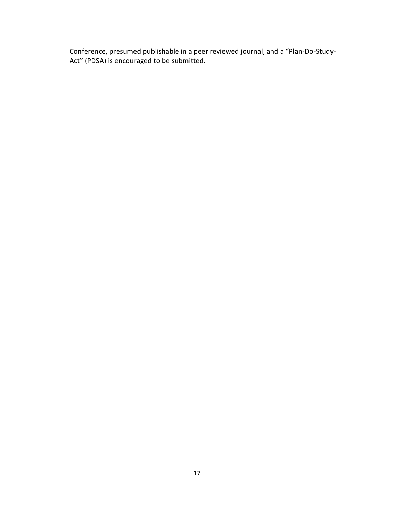Conference, presumed publishable in a peer reviewed journal, and a "Plan-Do-Study-Act" (PDSA) is encouraged to be submitted.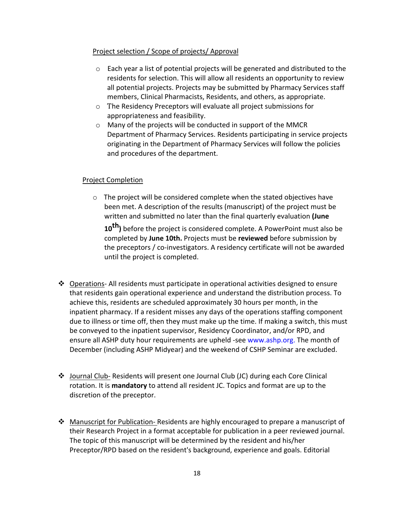## Project selection / Scope of projects/ Approval

- $\circ$  Each year a list of potential projects will be generated and distributed to the residents for selection. This will allow all residents an opportunity to review all potential projects. Projects may be submitted by Pharmacy Services staff members, Clinical Pharmacists, Residents, and others, as appropriate.
- o The Residency Preceptors will evaluate all project submissions for appropriateness and feasibility.
- o Many of the projects will be conducted in support of the MMCR Department of Pharmacy Services. Residents participating in service projects originating in the Department of Pharmacy Services will follow the policies and procedures of the department.

## Project Completion

o The project will be considered complete when the stated objectives have been met. A description of the results (manuscript) of the project must be written and submitted no later than the final quarterly evaluation **(June** 

10<sup>th</sup>) before the project is considered complete. A PowerPoint must also be completed by **June 10th.** Projects must be **reviewed** before submission by the preceptors / co-investigators. A residency certificate will not be awarded until the project is completed.

- $\cdot \cdot$  Operations- All residents must participate in operational activities designed to ensure that residents gain operational experience and understand the distribution process. To achieve this, residents are scheduled approximately 30 hours per month, in the inpatient pharmacy. If a resident misses any days of the operations staffing component due to illness or time off, then they must make up the time. If making a switch, this must be conveyed to the inpatient supervisor, Residency Coordinator, and/or RPD, and ensure all ASHP duty hour requirements are upheld -see www.ashp.org. The month of December (including ASHP Midyear) and the weekend of CSHP Seminar are excluded.
- $\clubsuit$  Journal Club- Residents will present one Journal Club (JC) during each Core Clinical rotation. It is **mandatory** to attend all resident JC. Topics and format are up to the discretion of the preceptor.
- Manuscript for Publication- Residents are highly encouraged to prepare a manuscript of their Research Project in a format acceptable for publication in a peer reviewed journal. The topic of this manuscript will be determined by the resident and his/her Preceptor/RPD based on the resident's background, experience and goals. Editorial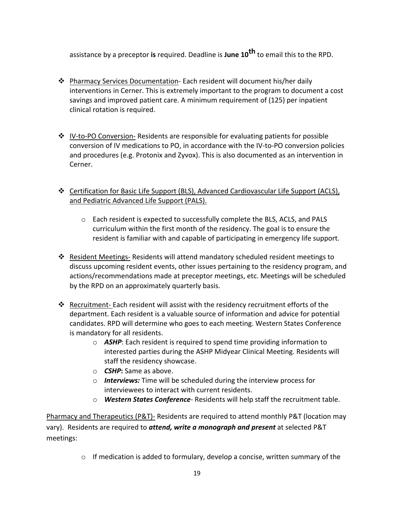assistance by a preceptor **is** required. Deadline is **June 10th** to email this to the RPD.

- \* Pharmacy Services Documentation- Each resident will document his/her daily interventions in Cerner. This is extremely important to the program to document a cost savings and improved patient care. A minimum requirement of (125) per inpatient clinical rotation is required.
- $\cdot \cdot$  IV-to-PO Conversion- Residents are responsible for evaluating patients for possible conversion of IV medications to PO, in accordance with the IV-to-PO conversion policies and procedures (e.g. Protonix and Zyvox). This is also documented as an intervention in Cerner.
- $\div$  Certification for Basic Life Support (BLS), Advanced Cardiovascular Life Support (ACLS), and Pediatric Advanced Life Support (PALS).
	- o Each resident is expected to successfully complete the BLS, ACLS, and PALS curriculum within the first month of the residency. The goal is to ensure the resident is familiar with and capable of participating in emergency life support.
- Resident Meetings-Residents will attend mandatory scheduled resident meetings to discuss upcoming resident events, other issues pertaining to the residency program, and actions/recommendations made at preceptor meetings, etc. Meetings will be scheduled by the RPD on an approximately quarterly basis.
- Recruitment- Each resident will assist with the residency recruitment efforts of the department. Each resident is a valuable source of information and advice for potential candidates. RPD will determine who goes to each meeting. Western States Conference is mandatory for all residents.
	- o *ASHP*: Each resident is required to spend time providing information to interested parties during the ASHP Midyear Clinical Meeting. Residents will staff the residency showcase.
	- o *CSHP***:** Same as above.
	- o *Interviews:* Time will be scheduled during the interview process for interviewees to interact with current residents.
	- o *Western States Conference* Residents will help staff the recruitment table.

Pharmacy and Therapeutics (P&T)- Residents are required to attend monthly P&T (location may vary). Residents are required to *attend, write a monograph and present* at selected P&T meetings:

 $\circ$  If medication is added to formulary, develop a concise, written summary of the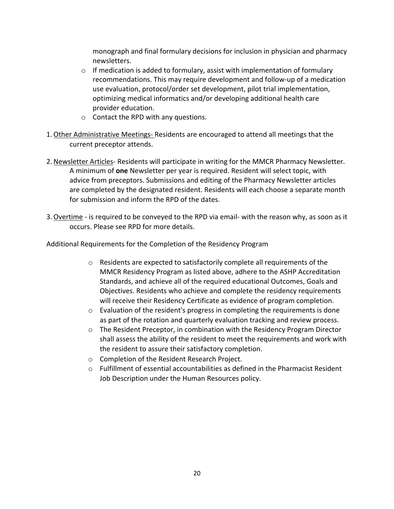monograph and final formulary decisions for inclusion in physician and pharmacy newsletters.

- o If medication is added to formulary, assist with implementation of formulary recommendations. This may require development and follow-up of a medication use evaluation, protocol/order set development, pilot trial implementation, optimizing medical informatics and/or developing additional health care provider education.
- o Contact the RPD with any questions.
- 1.Other Administrative Meetings- Residents are encouraged to attend all meetings that the current preceptor attends.
- 2.Newsletter Articles- Residents will participate in writing for the MMCR Pharmacy Newsletter. A minimum of **one** Newsletter per year is required. Resident will select topic, with advice from preceptors. Submissions and editing of the Pharmacy Newsletter articles are completed by the designated resident. Residents will each choose a separate month for submission and inform the RPD of the dates.
- 3.Overtime is required to be conveyed to the RPD via email- with the reason why, as soon as it occurs. Please see RPD for more details.

Additional Requirements for the Completion of the Residency Program

- o Residents are expected to satisfactorily complete all requirements of the MMCR Residency Program as listed above, adhere to the ASHP Accreditation Standards, and achieve all of the required educational Outcomes, Goals and Objectives. Residents who achieve and complete the residency requirements will receive their Residency Certificate as evidence of program completion.
- o Evaluation of the resident's progress in completing the requirements is done as part of the rotation and quarterly evaluation tracking and review process.
- $\circ$  The Resident Preceptor, in combination with the Residency Program Director shall assess the ability of the resident to meet the requirements and work with the resident to assure their satisfactory completion.
- o Completion of the Resident Research Project.
- $\circ$  Fulfillment of essential accountabilities as defined in the Pharmacist Resident Job Description under the Human Resources policy.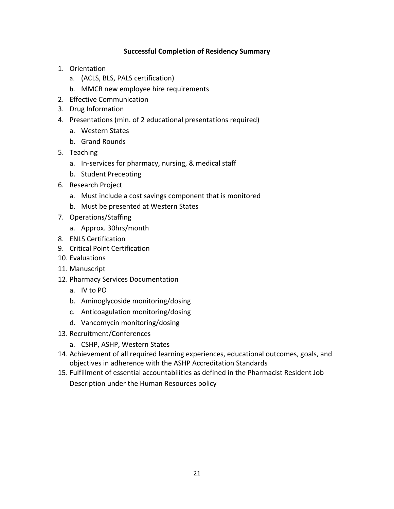## **Successful Completion of Residency Summary**

- 1. Orientation
	- a. (ACLS, BLS, PALS certification)
	- b. MMCR new employee hire requirements
- 2. Effective Communication
- 3. Drug Information
- 4. Presentations (min. of 2 educational presentations required)
	- a. Western States
	- b. Grand Rounds
- 5. Teaching
	- a. In-services for pharmacy, nursing, & medical staff
	- b. Student Precepting
- 6. Research Project
	- a. Must include a cost savings component that is monitored
	- b. Must be presented at Western States
- 7. Operations/Staffing
	- a. Approx. 30hrs/month
- 8. ENLS Certification
- 9. Critical Point Certification
- 10. Evaluations
- 11. Manuscript
- 12. Pharmacy Services Documentation
	- a. IV to PO
	- b. Aminoglycoside monitoring/dosing
	- c. Anticoagulation monitoring/dosing
	- d. Vancomycin monitoring/dosing
- 13. Recruitment/Conferences
	- a. CSHP, ASHP, Western States
- 14. Achievement of all required learning experiences, educational outcomes, goals, and objectives in adherence with the ASHP Accreditation Standards
- 15. Fulfillment of essential accountabilities as defined in the Pharmacist Resident Job Description under the Human Resources policy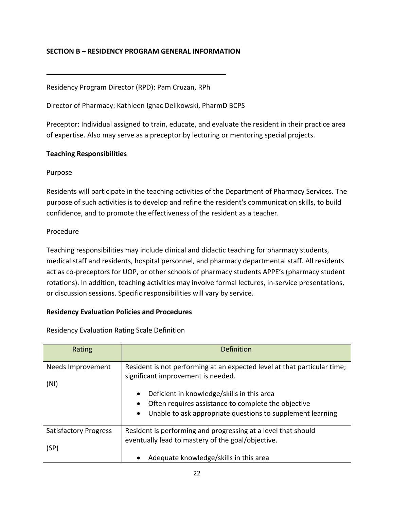## **SECTION B – RESIDENCY PROGRAM GENERAL INFORMATION**

Residency Program Director (RPD): Pam Cruzan, RPh

Director of Pharmacy: Kathleen Ignac Delikowski, PharmD BCPS

Preceptor: Individual assigned to train, educate, and evaluate the resident in their practice area of expertise. Also may serve as a preceptor by lecturing or mentoring special projects.

#### **Teaching Responsibilities**

#### Purpose

Residents will participate in the teaching activities of the Department of Pharmacy Services. The purpose of such activities is to develop and refine the resident's communication skills, to build confidence, and to promote the effectiveness of the resident as a teacher.

#### Procedure

Teaching responsibilities may include clinical and didactic teaching for pharmacy students, medical staff and residents, hospital personnel, and pharmacy departmental staff. All residents act as co-preceptors for UOP, or other schools of pharmacy students APPE's (pharmacy student rotations). In addition, teaching activities may involve formal lectures, in-service presentations, or discussion sessions. Specific responsibilities will vary by service.

#### **Residency Evaluation Policies and Procedures**

| Rating                       | Definition                                                                                                                                                                |
|------------------------------|---------------------------------------------------------------------------------------------------------------------------------------------------------------------------|
| Needs Improvement<br>(NI)    | Resident is not performing at an expected level at that particular time;<br>significant improvement is needed.<br>Deficient in knowledge/skills in this area<br>$\bullet$ |
|                              | Often requires assistance to complete the objective<br>Unable to ask appropriate questions to supplement learning<br>$\bullet$                                            |
| <b>Satisfactory Progress</b> | Resident is performing and progressing at a level that should<br>eventually lead to mastery of the goal/objective.                                                        |
| (SP)                         | Adequate knowledge/skills in this area                                                                                                                                    |

Residency Evaluation Rating Scale Definition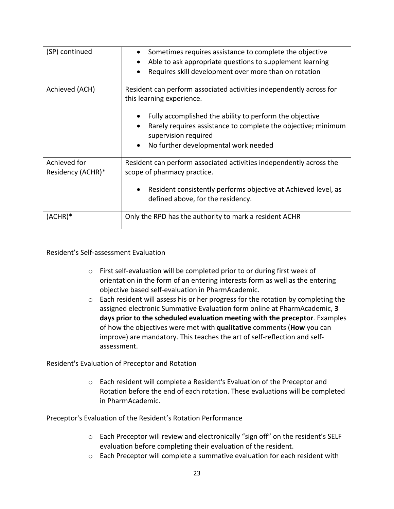| (SP) continued                    | Sometimes requires assistance to complete the objective<br>Able to ask appropriate questions to supplement learning<br>$\bullet$<br>Requires skill development over more than on rotation                                                                                                    |
|-----------------------------------|----------------------------------------------------------------------------------------------------------------------------------------------------------------------------------------------------------------------------------------------------------------------------------------------|
| Achieved (ACH)                    | Resident can perform associated activities independently across for<br>this learning experience.<br>Fully accomplished the ability to perform the objective<br>Rarely requires assistance to complete the objective; minimum<br>supervision required<br>No further developmental work needed |
| Achieved for<br>Residency (ACHR)* | Resident can perform associated activities independently across the<br>scope of pharmacy practice.<br>Resident consistently performs objective at Achieved level, as<br>defined above, for the residency.                                                                                    |
| (ACHR)*                           | Only the RPD has the authority to mark a resident ACHR                                                                                                                                                                                                                                       |

#### Resident's Self-assessment Evaluation

- o First self-evaluation will be completed prior to or during first week of orientation in the form of an entering interests form as well as the entering objective based self-evaluation in PharmAcademic.
- o Each resident will assess his or her progress for the rotation by completing the assigned electronic Summative Evaluation form online at PharmAcademic, **3 days prior to the scheduled evaluation meeting with the preceptor**. Examples of how the objectives were met with **qualitative** comments (**How** you can improve) are mandatory. This teaches the art of self-reflection and selfassessment.

Resident's Evaluation of Preceptor and Rotation

o Each resident will complete a Resident's Evaluation of the Preceptor and Rotation before the end of each rotation. These evaluations will be completed in PharmAcademic.

Preceptor's Evaluation of the Resident's Rotation Performance

- o Each Preceptor will review and electronically "sign off" on the resident's SELF evaluation before completing their evaluation of the resident.
- o Each Preceptor will complete a summative evaluation for each resident with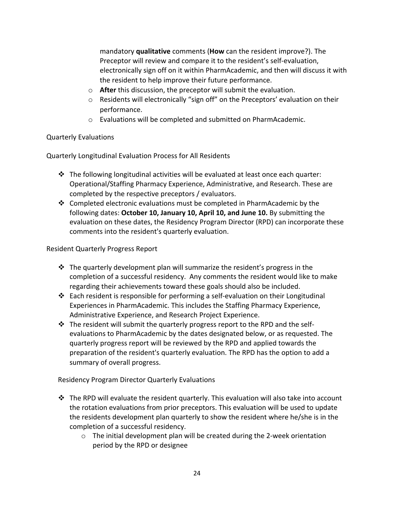mandatory **qualitative** comments (**How** can the resident improve?). The Preceptor will review and compare it to the resident's self-evaluation, electronically sign off on it within PharmAcademic, and then will discuss it with the resident to help improve their future performance.

- o **After** this discussion, the preceptor will submit the evaluation.
- $\circ$  Residents will electronically "sign off" on the Preceptors' evaluation on their performance.
- o Evaluations will be completed and submitted on PharmAcademic.

# Quarterly Evaluations

Quarterly Longitudinal Evaluation Process for All Residents

- $\cdot \cdot$  The following longitudinal activities will be evaluated at least once each quarter: Operational/Staffing Pharmacy Experience, Administrative, and Research. These are completed by the respective preceptors / evaluators.
- Completed electronic evaluations must be completed in PharmAcademic by the following dates: **October 10, January 10, April 10, and June 10.** By submitting the evaluation on these dates, the Residency Program Director (RPD) can incorporate these comments into the resident's quarterly evaluation.

# Resident Quarterly Progress Report

- $\mathbf{\hat{P}}$  The quarterly development plan will summarize the resident's progress in the completion of a successful residency. Any comments the resident would like to make regarding their achievements toward these goals should also be included.
- $\cdot \cdot$  Each resident is responsible for performing a self-evaluation on their Longitudinal Experiences in PharmAcademic. This includes the Staffing Pharmacy Experience, Administrative Experience, and Research Project Experience.
- $\cdot \cdot$  The resident will submit the quarterly progress report to the RPD and the selfevaluations to PharmAcademic by the dates designated below, or as requested. The quarterly progress report will be reviewed by the RPD and applied towards the preparation of the resident's quarterly evaluation. The RPD has the option to add a summary of overall progress.

Residency Program Director Quarterly Evaluations

- $\cdot \cdot$  The RPD will evaluate the resident quarterly. This evaluation will also take into account the rotation evaluations from prior preceptors. This evaluation will be used to update the residents development plan quarterly to show the resident where he/she is in the completion of a successful residency.
	- $\circ$  The initial development plan will be created during the 2-week orientation period by the RPD or designee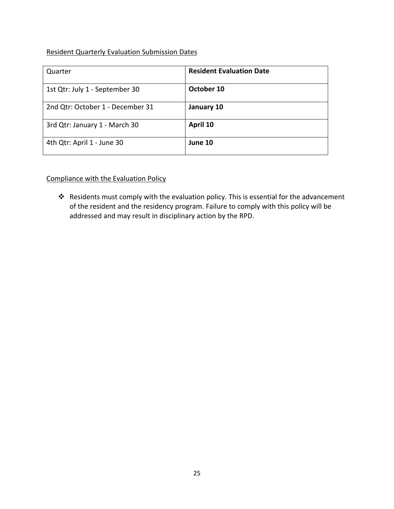#### Resident Quarterly Evaluation Submission Dates

| Quarter                          | <b>Resident Evaluation Date</b> |
|----------------------------------|---------------------------------|
| 1st Qtr: July 1 - September 30   | October 10                      |
| 2nd Qtr: October 1 - December 31 | January 10                      |
| 3rd Qtr: January 1 - March 30    | April 10                        |
| 4th Qtr: April 1 - June 30       | June 10                         |

# Compliance with the Evaluation Policy

\* Residents must comply with the evaluation policy. This is essential for the advancement of the resident and the residency program. Failure to comply with this policy will be addressed and may result in disciplinary action by the RPD.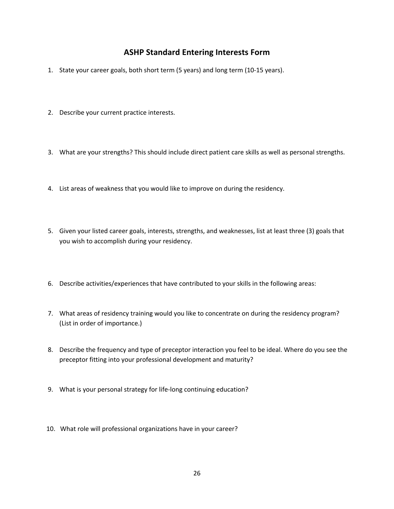# **ASHP Standard Entering Interests Form**

- 1. State your career goals, both short term (5 years) and long term (10-15 years).
- 2. Describe your current practice interests.
- 3. What are your strengths? This should include direct patient care skills as well as personal strengths.
- 4. List areas of weakness that you would like to improve on during the residency.
- 5. Given your listed career goals, interests, strengths, and weaknesses, list at least three (3) goals that you wish to accomplish during your residency.
- 6. Describe activities/experiences that have contributed to your skills in the following areas:
- 7. What areas of residency training would you like to concentrate on during the residency program? (List in order of importance.)
- 8. Describe the frequency and type of preceptor interaction you feel to be ideal. Where do you see the preceptor fitting into your professional development and maturity?
- 9. What is your personal strategy for life-long continuing education?
- 10. What role will professional organizations have in your career?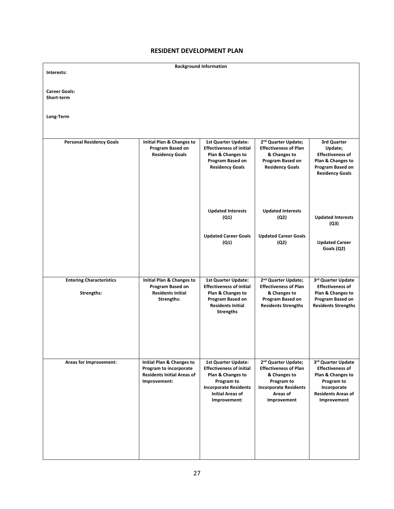#### **RESIDENT DEVELOPMENT PLAN**

|                                               |                                                                                                                     | <b>Background Information</b>                                                                                                                                        |                                                                                                                                                          |                                                                                                                                             |
|-----------------------------------------------|---------------------------------------------------------------------------------------------------------------------|----------------------------------------------------------------------------------------------------------------------------------------------------------------------|----------------------------------------------------------------------------------------------------------------------------------------------------------|---------------------------------------------------------------------------------------------------------------------------------------------|
| Interests:                                    |                                                                                                                     |                                                                                                                                                                      |                                                                                                                                                          |                                                                                                                                             |
| <b>Career Goals:</b><br>Short-term            |                                                                                                                     |                                                                                                                                                                      |                                                                                                                                                          |                                                                                                                                             |
| Long-Term                                     |                                                                                                                     |                                                                                                                                                                      |                                                                                                                                                          |                                                                                                                                             |
| <b>Personal Residency Goals</b>               | Initial Plan & Changes to<br>Program Based on<br><b>Residency Goals</b>                                             | <b>1st Quarter Update:</b><br><b>Effectiveness of initial</b><br>Plan & Changes to<br>Program Based on<br><b>Residency Goals</b>                                     | 2 <sup>nd</sup> Quarter Update;<br><b>Effectiveness of Plan</b><br>& Changes to<br>Program Based on<br><b>Residency Goals</b>                            | 3rd Quarter<br>Update;<br><b>Effectiveness of</b><br>Plan & Changes to<br>Program Based on<br><b>Residency Goals</b>                        |
|                                               |                                                                                                                     | <b>Updated Interests</b><br>(Q1)<br><b>Updated Career Goals</b>                                                                                                      | <b>Updated Interests</b><br>(Q2)<br><b>Updated Career Goals</b>                                                                                          | <b>Updated Interests</b><br>(Q3)                                                                                                            |
|                                               |                                                                                                                     | (Q1)                                                                                                                                                                 | (Q2)                                                                                                                                                     | <b>Updated Career</b><br>Goals (Q2)                                                                                                         |
| <b>Entering Characteristics</b><br>Strengths: | Initial Plan & Changes to<br>Program Based on<br><b>Residents Initial</b><br>Strengths:                             | <b>1st Quarter Update:</b><br><b>Effectiveness of initial</b><br>Plan & Changes to<br>Program Based on<br><b>Residents Initial</b><br><b>Strengths</b>               | 2 <sup>nd</sup> Quarter Update;<br><b>Effectiveness of Plan</b><br>& Changes to<br>Program Based on<br><b>Residents Strengths</b>                        | 3rd Quarter Update<br><b>Effectiveness of</b><br>Plan & Changes to<br>Program Based on<br><b>Residents Strengths</b>                        |
| Areas for Improvement:                        | <b>Initial Plan &amp; Changes to</b><br>Program to incorporate<br><b>Residents Initial Areas of</b><br>Improvement: | 1st Quarter Update:<br><b>Effectiveness of initial</b><br>Plan & Changes to<br>Program to<br><b>Incorporate Residents</b><br><b>Initial Areas of</b><br>Improvement: | 2 <sup>nd</sup> Quarter Update;<br><b>Effectiveness of Plan</b><br>& Changes to<br>Program to<br><b>Incorporate Residents</b><br>Areas of<br>Improvement | 3rd Quarter Update<br><b>Effectiveness of</b><br>Plan & Changes to<br>Program to<br>Incorporate<br><b>Residents Areas of</b><br>Improvement |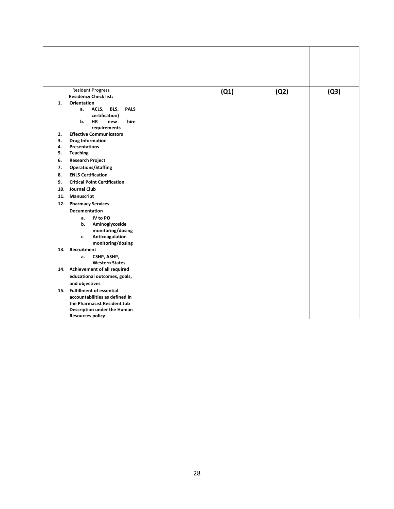| <b>Resident Progress</b><br><b>Residency Check list:</b> | (Q1) | (Q2) | (Q3) |
|----------------------------------------------------------|------|------|------|
| <b>Orientation</b><br>1.                                 |      |      |      |
| ACLS, BLS,<br><b>PALS</b><br>а.                          |      |      |      |
| certification)                                           |      |      |      |
| <b>HR</b><br>b.<br>hire<br>new                           |      |      |      |
| requirements                                             |      |      |      |
| 2.<br><b>Effective Communicators</b>                     |      |      |      |
| 3.<br><b>Drug Information</b>                            |      |      |      |
| 4.<br><b>Presentations</b>                               |      |      |      |
| 5.<br><b>Teaching</b>                                    |      |      |      |
| 6.<br><b>Research Project</b>                            |      |      |      |
| <b>Operations/Staffing</b><br>7.                         |      |      |      |
| <b>ENLS Certification</b><br>8.                          |      |      |      |
| 9.<br><b>Critical Point Certification</b>                |      |      |      |
| <b>Journal Club</b><br>10.                               |      |      |      |
| Manuscript<br>11.                                        |      |      |      |
| 12.<br><b>Pharmacy Services</b>                          |      |      |      |
| Documentation                                            |      |      |      |
| IV to PO<br>a.                                           |      |      |      |
| b.<br>Aminoglycoside                                     |      |      |      |
| monitoring/dosing                                        |      |      |      |
| Anticoagulation<br>c.                                    |      |      |      |
| monitoring/dosing<br>13. Recruitment                     |      |      |      |
| CSHP, ASHP,<br>a.                                        |      |      |      |
| <b>Western States</b>                                    |      |      |      |
| 14. Achievement of all required                          |      |      |      |
| educational outcomes, goals,                             |      |      |      |
| and objectives                                           |      |      |      |
| 15. Fulfillment of essential                             |      |      |      |
| accountabilities as defined in                           |      |      |      |
| the Pharmacist Resident Job                              |      |      |      |
| Description under the Human                              |      |      |      |
| <b>Resources policy</b>                                  |      |      |      |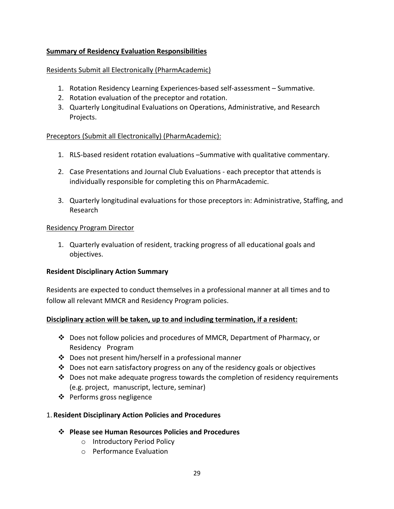# **Summary of Residency Evaluation Responsibilities**

#### Residents Submit all Electronically (PharmAcademic)

- 1. Rotation Residency Learning Experiences-based self-assessment Summative.
- 2. Rotation evaluation of the preceptor and rotation.
- 3. Quarterly Longitudinal Evaluations on Operations, Administrative, and Research Projects.

## Preceptors (Submit all Electronically) (PharmAcademic):

- 1. RLS-based resident rotation evaluations –Summative with qualitative commentary.
- 2. Case Presentations and Journal Club Evaluations each preceptor that attends is individually responsible for completing this on PharmAcademic.
- 3. Quarterly longitudinal evaluations for those preceptors in: Administrative, Staffing, and Research

#### Residency Program Director

1. Quarterly evaluation of resident, tracking progress of all educational goals and objectives.

#### **Resident Disciplinary Action Summary**

Residents are expected to conduct themselves in a professional manner at all times and to follow all relevant MMCR and Residency Program policies.

## **Disciplinary action will be taken, up to and including termination, if a resident:**

- $\cdot \cdot$  Does not follow policies and procedures of MMCR, Department of Pharmacy, or Residency Program
- $\cdot$  Does not present him/herself in a professional manner
- \* Does not earn satisfactory progress on any of the residency goals or objectives
- $\cdot \cdot$  Does not make adequate progress towards the completion of residency requirements (e.g. project, manuscript, lecture, seminar)
- $\div$  Performs gross negligence

## 1. **Resident Disciplinary Action Policies and Procedures**

- v **Please see Human Resources Policies and Procedures** 
	- o Introductory Period Policy
	- o Performance Evaluation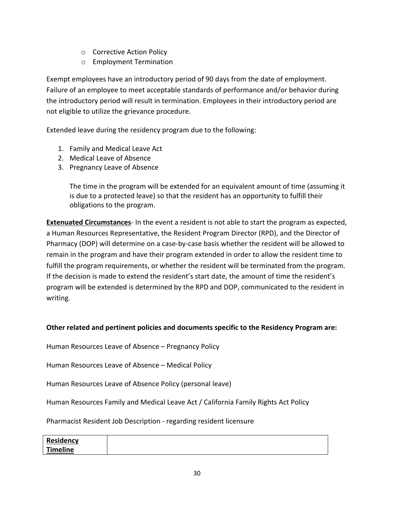- o Corrective Action Policy
- o Employment Termination

Exempt employees have an introductory period of 90 days from the date of employment. Failure of an employee to meet acceptable standards of performance and/or behavior during the introductory period will result in termination. Employees in their introductory period are not eligible to utilize the grievance procedure.

Extended leave during the residency program due to the following:

- 1. Family and Medical Leave Act
- 2. Medical Leave of Absence
- 3. Pregnancy Leave of Absence

The time in the program will be extended for an equivalent amount of time (assuming it is due to a protected leave) so that the resident has an opportunity to fulfill their obligations to the program.

**Extenuated Circumstances**- In the event a resident is not able to start the program as expected, a Human Resources Representative, the Resident Program Director (RPD), and the Director of Pharmacy (DOP) will determine on a case-by-case basis whether the resident will be allowed to remain in the program and have their program extended in order to allow the resident time to fulfill the program requirements, or whether the resident will be terminated from the program. If the decision is made to extend the resident's start date, the amount of time the resident's program will be extended is determined by the RPD and DOP, communicated to the resident in writing.

## **Other related and pertinent policies and documents specific to the Residency Program are:**

Human Resources Leave of Absence – Pregnancy Policy

Human Resources Leave of Absence – Medical Policy

Human Resources Leave of Absence Policy (personal leave)

Human Resources Family and Medical Leave Act / California Family Rights Act Policy

Pharmacist Resident Job Description - regarding resident licensure

| Residency |  |
|-----------|--|
| Timeline  |  |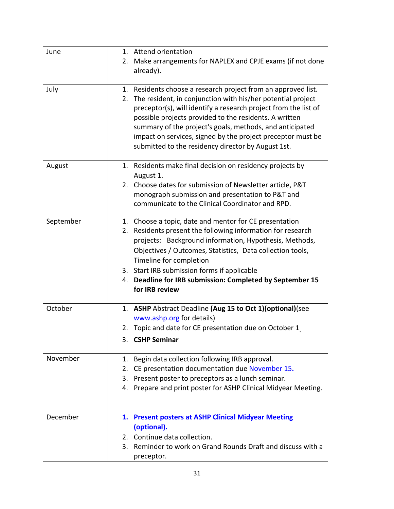| June      | 1. Attend orientation                                                                                                           |
|-----------|---------------------------------------------------------------------------------------------------------------------------------|
|           | 2.<br>Make arrangements for NAPLEX and CPJE exams (if not done                                                                  |
|           | already).                                                                                                                       |
|           |                                                                                                                                 |
| July      | 1. Residents choose a research project from an approved list.<br>2. The resident, in conjunction with his/her potential project |
|           | preceptor(s), will identify a research project from the list of                                                                 |
|           | possible projects provided to the residents. A written                                                                          |
|           | summary of the project's goals, methods, and anticipated                                                                        |
|           | impact on services, signed by the project preceptor must be                                                                     |
|           | submitted to the residency director by August 1st.                                                                              |
|           |                                                                                                                                 |
| August    | 1. Residents make final decision on residency projects by                                                                       |
|           | August 1.                                                                                                                       |
|           | 2. Choose dates for submission of Newsletter article, P&T                                                                       |
|           | monograph submission and presentation to P&T and                                                                                |
|           | communicate to the Clinical Coordinator and RPD.                                                                                |
| September | 1. Choose a topic, date and mentor for CE presentation                                                                          |
|           | 2. Residents present the following information for research                                                                     |
|           | projects: Background information, Hypothesis, Methods,                                                                          |
|           | Objectives / Outcomes, Statistics, Data collection tools,                                                                       |
|           | Timeline for completion                                                                                                         |
|           | 3. Start IRB submission forms if applicable                                                                                     |
|           | 4. Deadline for IRB submission: Completed by September 15                                                                       |
|           | for IRB review                                                                                                                  |
| October   | 1. ASHP Abstract Deadline (Aug 15 to Oct 1)(optional)(see                                                                       |
|           | www.ashp.org for details)                                                                                                       |
|           | 2. Topic and date for CE presentation due on October 1                                                                          |
|           | 3. CSHP Seminar                                                                                                                 |
|           |                                                                                                                                 |
| November  | Begin data collection following IRB approval.<br>1.                                                                             |
|           | CE presentation documentation due November 15.<br>2.                                                                            |
|           | 3. Present poster to preceptors as a lunch seminar.                                                                             |
|           | 4. Prepare and print poster for ASHP Clinical Midyear Meeting.                                                                  |
|           |                                                                                                                                 |
| December  | 1. Present posters at ASHP Clinical Midyear Meeting                                                                             |
|           | (optional).                                                                                                                     |
|           | Continue data collection.<br>2.                                                                                                 |
|           | 3. Reminder to work on Grand Rounds Draft and discuss with a                                                                    |
|           | preceptor.                                                                                                                      |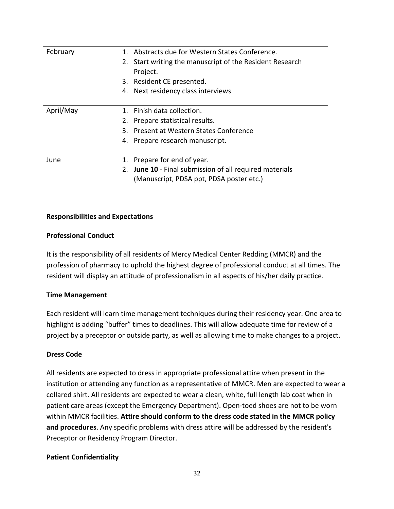| February  | 1. Abstracts due for Western States Conference.<br>2. Start writing the manuscript of the Resident Research<br>Project.<br>3. Resident CE presented.<br>4. Next residency class interviews |
|-----------|--------------------------------------------------------------------------------------------------------------------------------------------------------------------------------------------|
| April/May | 1. Finish data collection.<br>2. Prepare statistical results.<br>3. Present at Western States Conference<br>4. Prepare research manuscript.                                                |
| June      | 1. Prepare for end of year.<br>2. June 10 - Final submission of all required materials<br>(Manuscript, PDSA ppt, PDSA poster etc.)                                                         |

#### **Responsibilities and Expectations**

#### **Professional Conduct**

It is the responsibility of all residents of Mercy Medical Center Redding (MMCR) and the profession of pharmacy to uphold the highest degree of professional conduct at all times. The resident will display an attitude of professionalism in all aspects of his/her daily practice.

#### **Time Management**

Each resident will learn time management techniques during their residency year. One area to highlight is adding "buffer" times to deadlines. This will allow adequate time for review of a project by a preceptor or outside party, as well as allowing time to make changes to a project.

#### **Dress Code**

All residents are expected to dress in appropriate professional attire when present in the institution or attending any function as a representative of MMCR. Men are expected to wear a collared shirt. All residents are expected to wear a clean, white, full length lab coat when in patient care areas (except the Emergency Department). Open-toed shoes are not to be worn within MMCR facilities. **Attire should conform to the dress code stated in the MMCR policy and procedures**. Any specific problems with dress attire will be addressed by the resident's Preceptor or Residency Program Director.

#### **Patient Confidentiality**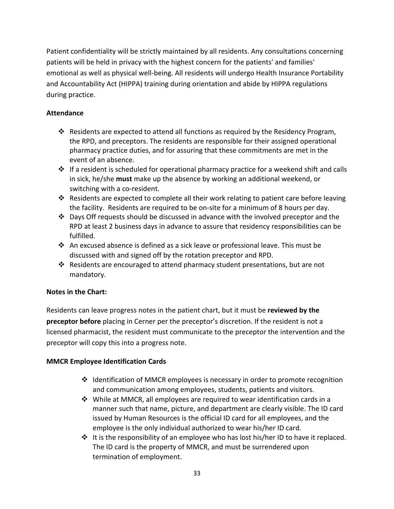Patient confidentiality will be strictly maintained by all residents. Any consultations concerning patients will be held in privacy with the highest concern for the patients' and families' emotional as well as physical well-being. All residents will undergo Health Insurance Portability and Accountability Act (HIPPA) training during orientation and abide by HIPPA regulations during practice.

# **Attendance**

- $\cdot \cdot$  Residents are expected to attend all functions as required by the Residency Program, the RPD, and preceptors. The residents are responsible for their assigned operational pharmacy practice duties, and for assuring that these commitments are met in the event of an absence.
- $\cdot \cdot$  If a resident is scheduled for operational pharmacy practice for a weekend shift and calls in sick, he/she **must** make up the absence by working an additional weekend, or switching with a co-resident.
- \* Residents are expected to complete all their work relating to patient care before leaving the facility. Residents are required to be on-site for a minimum of 8 hours per day.
- $\cdot \cdot$  Days Off requests should be discussed in advance with the involved preceptor and the RPD at least 2 business days in advance to assure that residency responsibilities can be fulfilled.
- An excused absence is defined as a sick leave or professional leave. This must be discussed with and signed off by the rotation preceptor and RPD.
- $\cdot$  Residents are encouraged to attend pharmacy student presentations, but are not mandatory.

## **Notes in the Chart:**

Residents can leave progress notes in the patient chart, but it must be **reviewed by the preceptor before** placing in Cerner per the preceptor's discretion. If the resident is not a licensed pharmacist, the resident must communicate to the preceptor the intervention and the preceptor will copy this into a progress note.

## **MMCR Employee Identification Cards**

- $\cdot \cdot$  Identification of MMCR employees is necessary in order to promote recognition and communication among employees, students, patients and visitors.
- $\cdot$  While at MMCR, all employees are required to wear identification cards in a manner such that name, picture, and department are clearly visible. The ID card issued by Human Resources is the official ID card for all employees, and the employee is the only individual authorized to wear his/her ID card.
- $\cdot \cdot$  It is the responsibility of an employee who has lost his/her ID to have it replaced. The ID card is the property of MMCR, and must be surrendered upon termination of employment.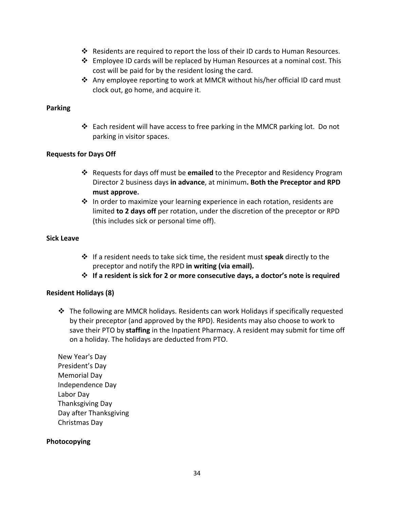- Residents are required to report the loss of their ID cards to Human Resources.
- $\div$  Employee ID cards will be replaced by Human Resources at a nominal cost. This cost will be paid for by the resident losing the card.
- Any employee reporting to work at MMCR without his/her official ID card must clock out, go home, and acquire it.

#### **Parking**

v Each resident will have access to free parking in the MMCR parking lot. Do not parking in visitor spaces.

#### **Requests for Days Off**

- v Requests for days off must be **emailed** to the Preceptor and Residency Program Director 2 business days **in advance**, at minimum**. Both the Preceptor and RPD must approve.**
- $\cdot \cdot$  In order to maximize your learning experience in each rotation, residents are limited **to 2 days off** per rotation, under the discretion of the preceptor or RPD (this includes sick or personal time off).

#### **Sick Leave**

- v If a resident needs to take sick time, the resident must **speak** directly to the preceptor and notify the RPD **in writing (via email).**
- v **If a resident is sick for 2 or more consecutive days, a doctor's note is required**

#### **Resident Holidays (8)**

 $\cdot \cdot$  The following are MMCR holidays. Residents can work Holidays if specifically requested by their preceptor (and approved by the RPD). Residents may also choose to work to save their PTO by **staffing** in the Inpatient Pharmacy. A resident may submit for time off on a holiday. The holidays are deducted from PTO.

New Year's Day President's Day Memorial Day Independence Day Labor Day Thanksgiving Day Day after Thanksgiving Christmas Day

#### **Photocopying**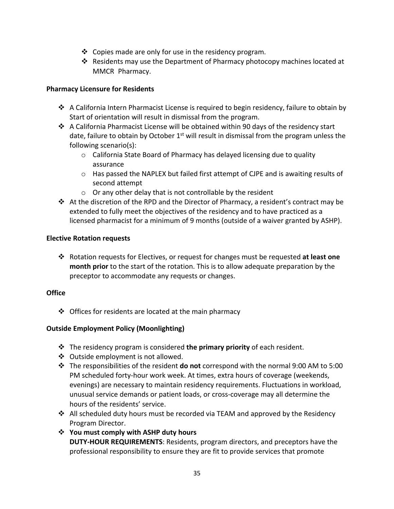- $\cdot$  Copies made are only for use in the residency program.
- Residents may use the Department of Pharmacy photocopy machines located at MMCR Pharmacy.

#### **Pharmacy Licensure for Residents**

- A California Intern Pharmacist License is required to begin residency, failure to obtain by Start of orientation will result in dismissal from the program.
- $\cdot$  A California Pharmacist License will be obtained within 90 days of the residency start date, failure to obtain by October  $1<sup>st</sup>$  will result in dismissal from the program unless the following scenario(s):
	- o California State Board of Pharmacy has delayed licensing due to quality assurance
	- $\circ$  Has passed the NAPLEX but failed first attempt of CJPE and is awaiting results of second attempt
	- o Or any other delay that is not controllable by the resident
- $\cdot \cdot$  At the discretion of the RPD and the Director of Pharmacy, a resident's contract may be extended to fully meet the objectives of the residency and to have practiced as a licensed pharmacist for a minimum of 9 months (outside of a waiver granted by ASHP).

#### **Elective Rotation requests**

v Rotation requests for Electives, or request for changes must be requested **at least one month prior** to the start of the rotation. This is to allow adequate preparation by the preceptor to accommodate any requests or changes.

## **Office**

 $\triangle$  Offices for residents are located at the main pharmacy

## **Outside Employment Policy (Moonlighting)**

- v The residency program is considered **the primary priority** of each resident.
- ❖ Outside employment is not allowed.
- v The responsibilities of the resident **do not** correspond with the normal 9:00 AM to 5:00 PM scheduled forty-hour work week. At times, extra hours of coverage (weekends, evenings) are necessary to maintain residency requirements. Fluctuations in workload, unusual service demands or patient loads, or cross-coverage may all determine the hours of the residents' service.
- \* All scheduled duty hours must be recorded via TEAM and approved by the Residency Program Director.
- **❖** You must comply with ASHP duty hours **DUTY-HOUR REQUIREMENTS**: Residents, program directors, and preceptors have the professional responsibility to ensure they are fit to provide services that promote